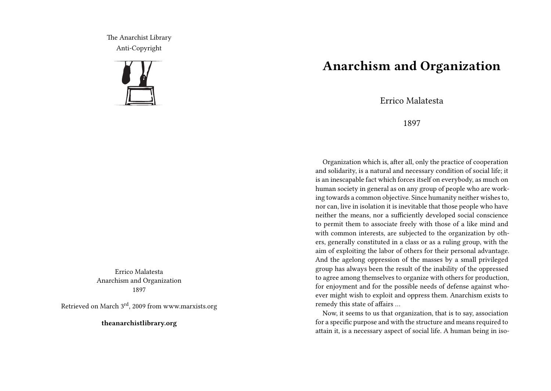The Anarchist Library Anti-Copyright



Errico Malatesta Anarchism and Organization 1897

Retrieved on March 3rd, 2009 from www.marxists.org

**theanarchistlibrary.org**

## **Anarchism and Organization**

Errico Malatesta

1897

Organization which is, after all, only the practice of cooperation and solidarity, is a natural and necessary condition of social life; it is an inescapable fact which forces itself on everybody, as much on human society in general as on any group of people who are working towards a common objective. Since humanity neither wishes to, nor can, live in isolation it is inevitable that those people who have neither the means, nor a sufficiently developed social conscience to permit them to associate freely with those of a like mind and with common interests, are subjected to the organization by others, generally constituted in a class or as a ruling group, with the aim of exploiting the labor of others for their personal advantage. And the agelong oppression of the masses by a small privileged group has always been the result of the inability of the oppressed to agree among themselves to organize with others for production, for enjoyment and for the possible needs of defense against whoever might wish to exploit and oppress them. Anarchism exists to remedy this state of affairs …

Now, it seems to us that organization, that is to say, association for a specific purpose and with the structure and means required to attain it, is a necessary aspect of social life. A human being in iso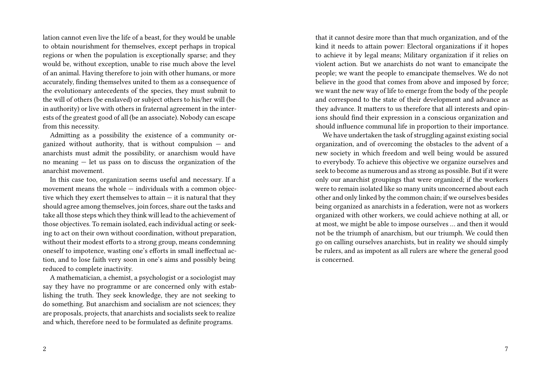lation cannot even live the life of a beast, for they would be unable to obtain nourishment for themselves, except perhaps in tropical regions or when the population is exceptionally sparse; and they would be, without exception, unable to rise much above the level of an animal. Having therefore to join with other humans, or more accurately, finding themselves united to them as a consequence of the evolutionary antecedents of the species, they must submit to the will of others (be enslaved) or subject others to his/her will (be in authority) or live with others in fraternal agreement in the interests of the greatest good of all (be an associate). Nobody can escape from this necessity.

Admitting as a possibility the existence of a community organized without authority, that is without compulsion  $-$  and anarchists must admit the possibility, or anarchism would have no meaning — let us pass on to discuss the organization of the anarchist movement.

In this case too, organization seems useful and necessary. If a movement means the whole — individuals with a common objective which they exert themselves to attain  $-$  it is natural that they should agree among themselves, join forces, share out the tasks and take all those steps which they think will lead to the achievement of those objectives. To remain isolated, each individual acting or seeking to act on their own without coordination, without preparation, without their modest efforts to a strong group, means condemning oneself to impotence, wasting one's efforts in small ineffectual action, and to lose faith very soon in one's aims and possibly being reduced to complete inactivity.

A mathematician, a chemist, a psychologist or a sociologist may say they have no programme or are concerned only with establishing the truth. They seek knowledge, they are not seeking to do something. But anarchism and socialism are not sciences; they are proposals, projects, that anarchists and socialists seek to realize and which, therefore need to be formulated as definite programs.

that it cannot desire more than that much organization, and of the kind it needs to attain power: Electoral organizations if it hopes to achieve it by legal means; Military organization if it relies on violent action. But we anarchists do not want to emancipate the people; we want the people to emancipate themselves. We do not believe in the good that comes from above and imposed by force; we want the new way of life to emerge from the body of the people and correspond to the state of their development and advance as they advance. It matters to us therefore that all interests and opinions should find their expression in a conscious organization and should influence communal life in proportion to their importance.

We have undertaken the task of struggling against existing social organization, and of overcoming the obstacles to the advent of a new society in which freedom and well being would be assured to everybody. To achieve this objective we organize ourselves and seek to become as numerous and as strong as possible. But if it were only our anarchist groupings that were organized; if the workers were to remain isolated like so many units unconcerned about each other and only linked by the common chain; if we ourselves besides being organized as anarchists in a federation, were not as workers organized with other workers, we could achieve nothing at all, or at most, we might be able to impose ourselves … and then it would not be the triumph of anarchism, but our triumph. We could then go on calling ourselves anarchists, but in reality we should simply be rulers, and as impotent as all rulers are where the general good is concerned.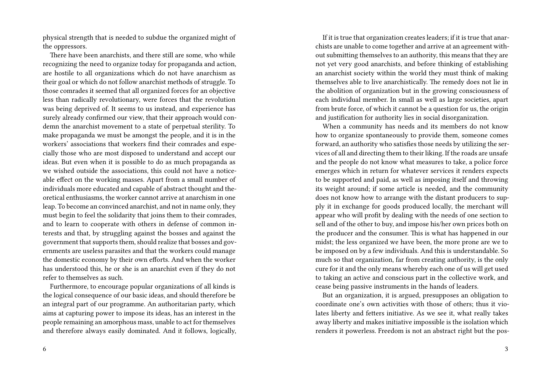physical strength that is needed to subdue the organized might of the oppressors.

There have been anarchists, and there still are some, who while recognizing the need to organize today for propaganda and action, are hostile to all organizations which do not have anarchism as their goal or which do not follow anarchist methods of struggle. To those comrades it seemed that all organized forces for an objective less than radically revolutionary, were forces that the revolution was being deprived of. It seems to us instead, and experience has surely already confirmed our view, that their approach would condemn the anarchist movement to a state of perpetual sterility. To make propaganda we must be amongst the people, and it is in the workers' associations that workers find their comrades and especially those who are most disposed to understand and accept our ideas. But even when it is possible to do as much propaganda as we wished outside the associations, this could not have a noticeable effect on the working masses. Apart from a small number of individuals more educated and capable of abstract thought and theoretical enthusiasms, the worker cannot arrive at anarchism in one leap. To become an convinced anarchist, and not in name only, they must begin to feel the solidarity that joins them to their comrades, and to learn to cooperate with others in defense of common interests and that, by struggling against the bosses and against the government that supports them, should realize that bosses and governments are useless parasites and that the workers could manage the domestic economy by their own efforts. And when the worker has understood this, he or she is an anarchist even if they do not refer to themselves as such.

Furthermore, to encourage popular organizations of all kinds is the logical consequence of our basic ideas, and should therefore be an integral part of our programme. An authoritarian party, which aims at capturing power to impose its ideas, has an interest in the people remaining an amorphous mass, unable to act for themselves and therefore always easily dominated. And it follows, logically,

If it is true that organization creates leaders; if it is true that anarchists are unable to come together and arrive at an agreement without submitting themselves to an authority, this means that they are not yet very good anarchists, and before thinking of establishing an anarchist society within the world they must think of making themselves able to live anarchistically. The remedy does not lie in the abolition of organization but in the growing consciousness of each individual member. In small as well as large societies, apart from brute force, of which it cannot be a question for us, the origin and justification for authority lies in social disorganization.

When a community has needs and its members do not know how to organize spontaneously to provide them, someone comes forward, an authority who satisfies those needs by utilizing the services of all and directing them to their liking. If the roads are unsafe and the people do not know what measures to take, a police force emerges which in return for whatever services it renders expects to be supported and paid, as well as imposing itself and throwing its weight around; if some article is needed, and the community does not know how to arrange with the distant producers to supply it in exchange for goods produced locally, the merchant will appear who will profit by dealing with the needs of one section to sell and of the other to buy, and impose his/her own prices both on the producer and the consumer. This is what has happened in our midst; the less organized we have been, the more prone are we to be imposed on by a few individuals. And this is understandable. So much so that organization, far from creating authority, is the only cure for it and the only means whereby each one of us will get used to taking an active and conscious part in the collective work, and cease being passive instruments in the hands of leaders.

But an organization, it is argued, presupposes an obligation to coordinate one's own activities with those of others; thus it violates liberty and fetters initiative. As we see it, what really takes away liberty and makes initiative impossible is the isolation which renders it powerless. Freedom is not an abstract right but the pos